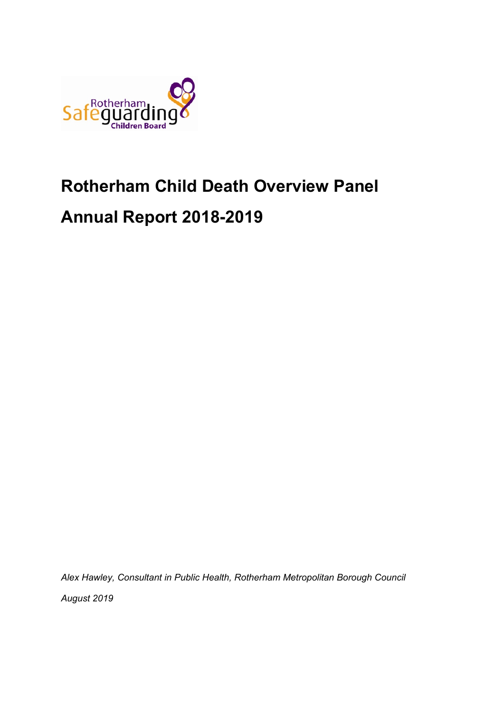

# **Rotherham Child Death Overview Panel**

# **Annual Report 2018-2019**

*Alex Hawley, Consultant in Public Health, Rotherham Metropolitan Borough Council*

*August 2019*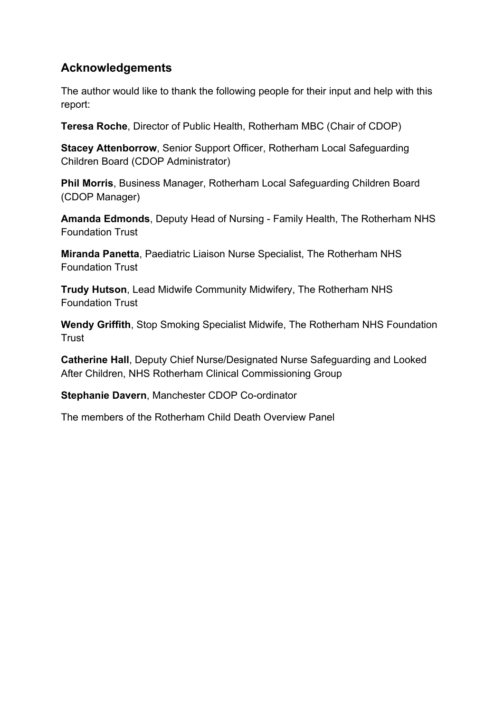# **Acknowledgements**

The author would like to thank the following people for their input and help with this report:

**Teresa Roche**, Director of Public Health, Rotherham MBC (Chair of CDOP)

**Stacey Attenborrow**, Senior Support Officer, Rotherham Local Safeguarding Children Board (CDOP Administrator)

**Phil Morris**, Business Manager, Rotherham Local Safeguarding Children Board (CDOP Manager)

**Amanda Edmonds**, Deputy Head of Nursing - Family Health, The Rotherham NHS Foundation Trust

**Miranda Panetta**, Paediatric Liaison Nurse Specialist, The Rotherham NHS Foundation Trust

**Trudy Hutson**, Lead Midwife Community Midwifery, The Rotherham NHS Foundation Trust

**Wendy Griffith**, Stop Smoking Specialist Midwife, The Rotherham NHS Foundation **Trust** 

**Catherine Hall**, Deputy Chief Nurse/Designated Nurse Safeguarding and Looked After Children, NHS Rotherham Clinical Commissioning Group

**Stephanie Davern**, Manchester CDOP Co-ordinator

The members of the Rotherham Child Death Overview Panel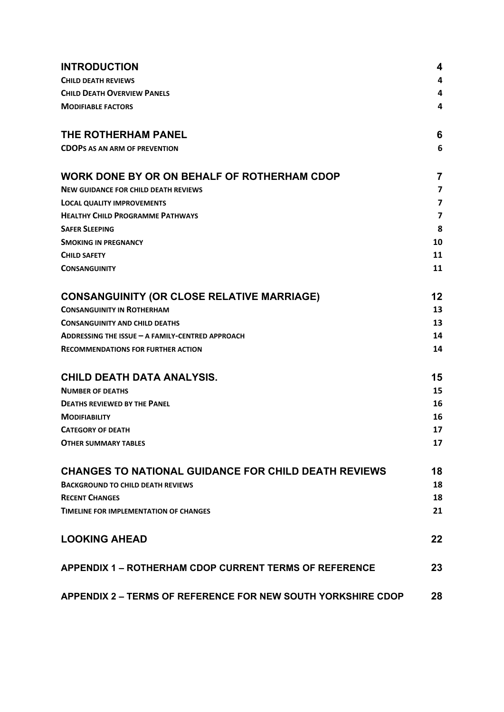<span id="page-2-0"></span>

| <b>INTRODUCTION</b>                                           | 4              |
|---------------------------------------------------------------|----------------|
| <b>CHILD DEATH REVIEWS</b>                                    | 4              |
| <b>CHILD DEATH OVERVIEW PANELS</b>                            | 4              |
| <b>MODIFIABLE FACTORS</b>                                     | 4              |
| THE ROTHERHAM PANEL                                           | 6              |
| <b>CDOPS AS AN ARM OF PREVENTION</b>                          | 6              |
| WORK DONE BY OR ON BEHALF OF ROTHERHAM CDOP                   | 7              |
| <b>NEW GUIDANCE FOR CHILD DEATH REVIEWS</b>                   | $\overline{7}$ |
| <b>LOCAL QUALITY IMPROVEMENTS</b>                             | 7              |
| <b>HEALTHY CHILD PROGRAMME PATHWAYS</b>                       | 7              |
| <b>SAFER SLEEPING</b>                                         | 8              |
| <b>SMOKING IN PREGNANCY</b>                                   | 10             |
| <b>CHILD SAFETY</b>                                           | 11             |
| <b>CONSANGUINITY</b>                                          | 11             |
| <b>CONSANGUINITY (OR CLOSE RELATIVE MARRIAGE)</b>             | 12             |
| <b>CONSANGUINITY IN ROTHERHAM</b>                             | 13             |
| <b>CONSANGUINITY AND CHILD DEATHS</b>                         | 13             |
| ADDRESSING THE ISSUE - A FAMILY-CENTRED APPROACH              | 14             |
| <b>RECOMMENDATIONS FOR FURTHER ACTION</b>                     | 14             |
| CHILD DEATH DATA ANALYSIS.                                    | 15             |
| <b>NUMBER OF DEATHS</b>                                       | 15             |
| <b>DEATHS REVIEWED BY THE PANEL</b>                           | 16             |
| <b>MODIFIABILITY</b>                                          | 16             |
| <b>CATEGORY OF DEATH</b>                                      | 17             |
| <b>OTHER SUMMARY TABLES</b>                                   | 17             |
| <b>CHANGES TO NATIONAL GUIDANCE FOR CHILD DEATH REVIEWS</b>   | 18             |
| <b>BACKGROUND TO CHILD DEATH REVIEWS</b>                      | 18             |
| <b>RECENT CHANGES</b>                                         | 18             |
| <b>TIMELINE FOR IMPLEMENTATION OF CHANGES</b>                 | 21             |
| <b>LOOKING AHEAD</b>                                          | 22             |
| <b>APPENDIX 1 - ROTHERHAM CDOP CURRENT TERMS OF REFERENCE</b> | 23             |
| APPENDIX 2 - TERMS OF REFERENCE FOR NEW SOUTH YORKSHIRE CDOP  | 28             |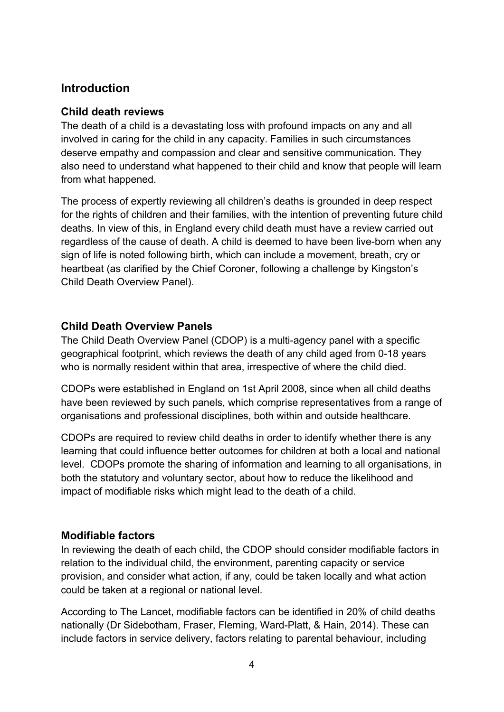# **Introduction**

## <span id="page-3-0"></span>**Child death reviews**

The death of a child is a devastating loss with profound impacts on any and all involved in caring for the child in any capacity. Families in such circumstances deserve empathy and compassion and clear and sensitive communication. They also need to understand what happened to their child and know that people will learn from what happened.

The process of expertly reviewing all children's deaths is grounded in deep respect for the rights of children and their families, with the intention of preventing future child deaths. In view of this, in England every child death must have a review carried out regardless of the cause of death. A child is deemed to have been live-born when any sign of life is noted following birth, which can include a movement, breath, cry or heartbeat (as clarified by the Chief Coroner, following a challenge by Kingston's Child Death Overview Panel).

## <span id="page-3-1"></span>**Child Death Overview Panels**

The Child Death Overview Panel (CDOP) is a multi-agency panel with a specific geographical footprint, which reviews the death of any child aged from 0-18 years who is normally resident within that area, irrespective of where the child died.

CDOPs were established in England on 1st April 2008, since when all child deaths have been reviewed by such panels, which comprise representatives from a range of organisations and professional disciplines, both within and outside healthcare.

CDOPs are required to review child deaths in order to identify whether there is any learning that could influence better outcomes for children at both a local and national level. CDOPs promote the sharing of information and learning to all organisations, in both the statutory and voluntary sector, about how to reduce the likelihood and impact of modifiable risks which might lead to the death of a child.

#### <span id="page-3-2"></span>**Modifiable factors**

In reviewing the death of each child, the CDOP should consider modifiable factors in relation to the individual child, the environment, parenting capacity or service provision, and consider what action, if any, could be taken locally and what action could be taken at a regional or national level.

According to The Lancet, modifiable factors can be identified in 20% of child deaths nationally (Dr Sidebotham, Fraser, Fleming, Ward-Platt, & Hain, 2014). These can include factors in service delivery, factors relating to parental behaviour, including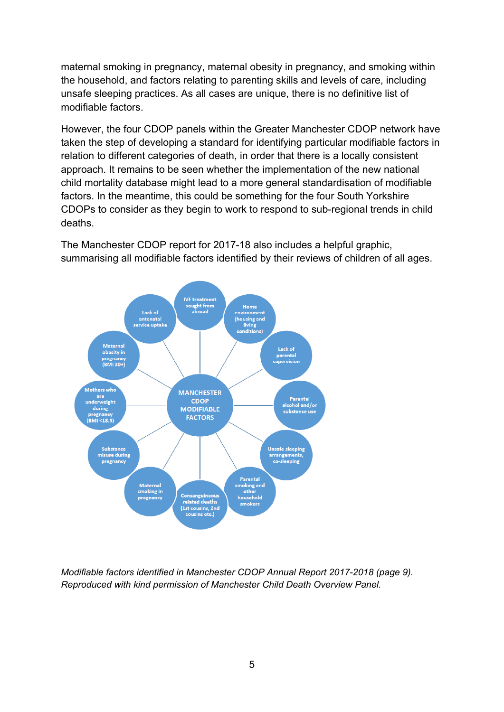maternal smoking in pregnancy, maternal obesity in pregnancy, and smoking within the household, and factors relating to parenting skills and levels of care, including unsafe sleeping practices. As all cases are unique, there is no definitive list of modifiable factors.

However, the four CDOP panels within the Greater Manchester CDOP network have taken the step of developing a standard for identifying particular modifiable factors in relation to different categories of death, in order that there is a locally consistent approach. It remains to be seen whether the implementation of the new national child mortality database might lead to a more general standardisation of modifiable factors. In the meantime, this could be something for the four South Yorkshire CDOPs to consider as they begin to work to respond to sub-regional trends in child deaths.

The Manchester CDOP report for 2017-18 also includes a helpful graphic, summarising all modifiable factors identified by their reviews of children of all ages.



*Modifiable factors identified in Manchester CDOP Annual Report 2017-2018 (page 9). Reproduced with kind permission of Manchester Child Death Overview Panel.*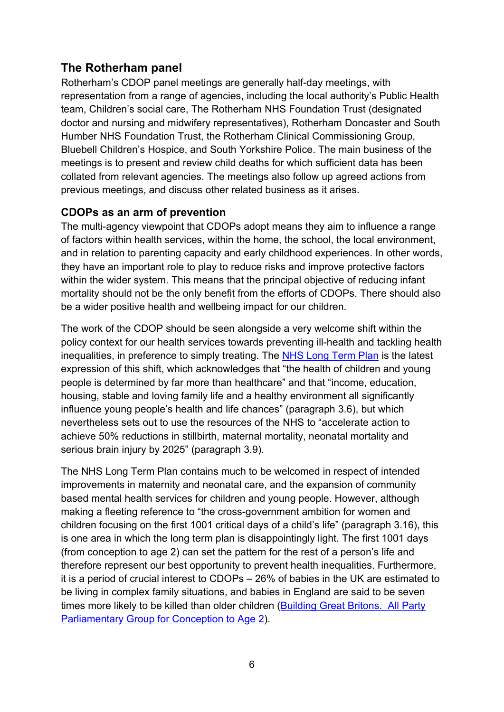# <span id="page-5-0"></span>**The Rotherham panel**

Rotherham's CDOP panel meetings are generally half-day meetings, with representation from a range of agencies, including the local authority's Public Health team, Children's social care, The Rotherham NHS Foundation Trust (designated doctor and nursing and midwifery representatives), Rotherham Doncaster and South Humber NHS Foundation Trust, the Rotherham Clinical Commissioning Group, Bluebell Children's Hospice, and South Yorkshire Police. The main business of the meetings is to present and review child deaths for which sufficient data has been collated from relevant agencies. The meetings also follow up agreed actions from previous meetings, and discuss other related business as it arises.

## <span id="page-5-1"></span>**CDOPs as an arm of prevention**

The multi-agency viewpoint that CDOPs adopt means they aim to influence a range of factors within health services, within the home, the school, the local environment, and in relation to parenting capacity and early childhood experiences. In other words, they have an important role to play to reduce risks and improve protective factors within the wider system. This means that the principal objective of reducing infant mortality should not be the only benefit from the efforts of CDOPs. There should also be a wider positive health and wellbeing impact for our children.

The work of the CDOP should be seen alongside a very welcome shift within the policy context for our health services towards preventing ill-health and tackling health inequalities, in preference to simply treating. The NHS Long [Term](https://www.england.nhs.uk/long-term-plan/) Plan is the latest expression of this shift, which acknowledges that "the health of children and young people is determined by far more than healthcare" and that "income, education, housing, stable and loving family life and a healthy environment all significantly influence young people's health and life chances" (paragraph 3.6), but which nevertheless sets out to use the resources of the NHS to "accelerate action to achieve 50% reductions in stillbirth, maternal mortality, neonatal mortality and serious brain injury by 2025" (paragraph 3.9).

The NHS Long Term Plan contains much to be welcomed in respect of intended improvements in maternity and neonatal care, and the expansion of community based mental health services for children and young people. However, although making a fleeting reference to "the cross-government ambition for women and children focusing on the first 1001 critical days of a child's life" (paragraph 3.16), this is one area in which the long term plan is disappointingly light. The first 1001 days (from conception to age 2) can set the pattern for the rest of a person's life and therefore represent our best opportunity to prevent health inequalities. Furthermore, it is a period of crucial interest to CDOPs – 26% of babies in the UK are estimated to be living in complex family situations, and babies in England are said to be seven times more likely to be killed than older children (Building Great [Britons. All](http://www.1001criticaldays.co.uk/sites/default/files/1001%20days_oct16_1st.pdf) Party [Parliamentary](http://www.1001criticaldays.co.uk/sites/default/files/1001%20days_oct16_1st.pdf) Group for Conception to Age 2).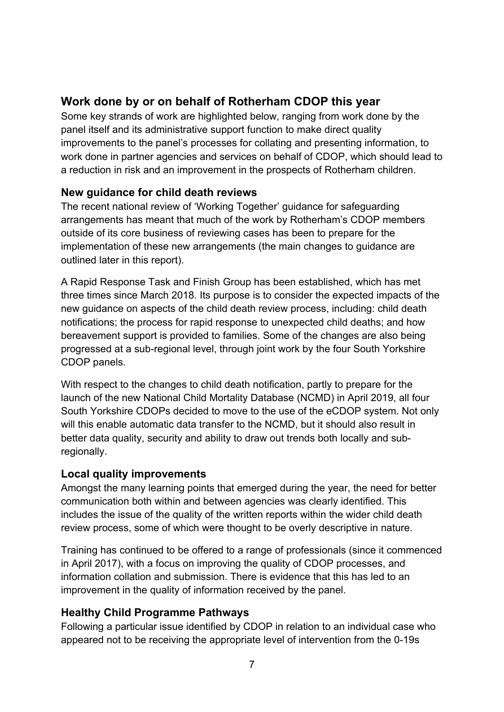# <span id="page-6-0"></span>**Work done by or on behalf of Rotherham CDOP this year**

Some key strands of work are highlighted below, ranging from work done by the panel itself and its administrative support function to make direct quality improvements to the panel's processes for collating and presenting information, to work done in partner agencies and services on behalf of CDOP, which should lead to a reduction in risk and an improvement in the prospects of Rotherham children.

# <span id="page-6-1"></span>**New guidance for child death reviews**

The recent national review of 'Working Together' guidance for safeguarding arrangements has meant that much of the work by Rotherham's CDOP members outside of its core business of reviewing cases has been to prepare for the implementation of these new arrangements (the main changes to guidance are outlined later in this report).

A Rapid Response Task and Finish Group has been established, which has met three times since March 2018. Its purpose is to consider the expected impacts of the new guidance on aspects of the child death review process, including: child death notifications; the process for rapid response to unexpected child deaths; and how bereavement support is provided to families. Some of the changes are also being progressed at a sub-regional level, through joint work by the four South Yorkshire CDOP panels.

With respect to the changes to child death notification, partly to prepare for the launch of the new National Child Mortality Database (NCMD) in April 2019, all four South Yorkshire CDOPs decided to move to the use of the eCDOP system. Not only will this enable automatic data transfer to the NCMD, but it should also result in better data quality, security and ability to draw out trends both locally and subregionally.

## <span id="page-6-2"></span>**Local quality improvements**

Amongst the many learning points that emerged during the year, the need for better communication both within and between agencies was clearly identified. This includes the issue of the quality of the written reports within the wider child death review process, some of which were thought to be overly descriptive in nature.

Training has continued to be offered to a range of professionals (since it commenced in April 2017), with a focus on improving the quality of CDOP processes, and information collation and submission. There is evidence that this has led to an improvement in the quality of information received by the panel.

# <span id="page-6-3"></span>**Healthy Child Programme Pathways**

Following a particular issue identified by CDOP in relation to an individual case who appeared not to be receiving the appropriate level of intervention from the 0-19s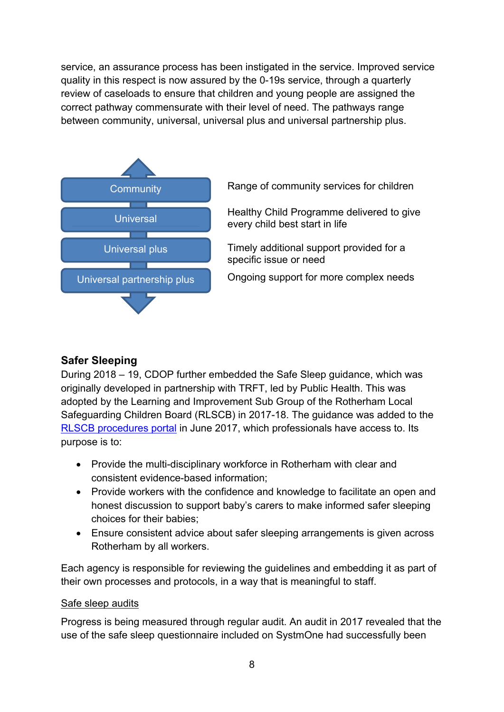service, an assurance process has been instigated in the service. Improved service quality in this respect is now assured by the 0-19s service, through a quarterly review of caseloads to ensure that children and young people are assigned the correct pathway commensurate with their level of need. The pathways range between community, universal, universal plus and universal partnership plus.



# <span id="page-7-0"></span>**Safer Sleeping**

During 2018 – 19, CDOP further embedded the Safe Sleep guidance, which was originally developed in partnership with TRFT, led by Public Health. This was adopted by the Learning and Improvement Sub Group of the Rotherham Local Safeguarding Children Board (RLSCB) in 2017-18. The guidance was added to the RLSCB [procedures](https://rotherhamscb.proceduresonline.com/chapters/p_safe_sleeping.html?zoom_highlight=sleep) portal in June 2017, which professionals have access to. Its purpose is to:

- Provide the multi-disciplinary workforce in Rotherham with clear and consistent evidence-based information;
- Provide workers with the confidence and knowledge to facilitate an open and honest discussion to support baby's carers to make informed safer sleeping choices for their babies;
- Ensure consistent advice about safer sleeping arrangements is given across Rotherham by all workers.

Each agency is responsible for reviewing the guidelines and embedding it as part of their own processes and protocols, in a way that is meaningful to staff.

#### Safe sleep audits

Progress is being measured through regular audit. An audit in 2017 revealed that the use of the safe sleep questionnaire included on SystmOne had successfully been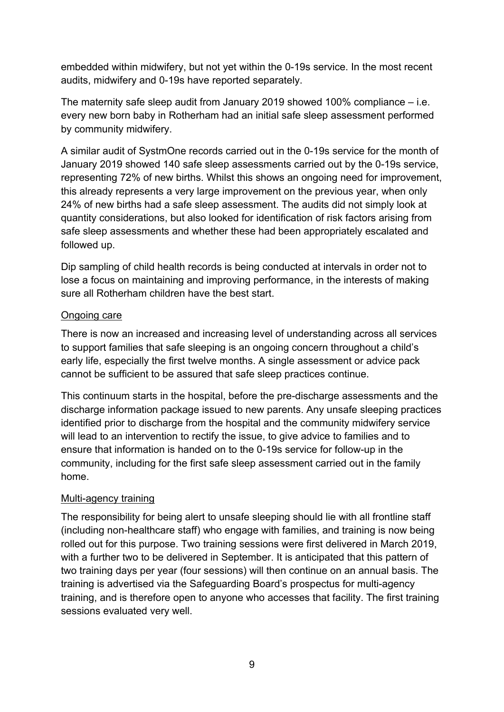embedded within midwifery, but not yet within the 0-19s service. In the most recent audits, midwifery and 0-19s have reported separately.

The maternity safe sleep audit from January 2019 showed 100% compliance – i.e. every new born baby in Rotherham had an initial safe sleep assessment performed by community midwifery.

A similar audit of SystmOne records carried out in the 0-19s service for the month of January 2019 showed 140 safe sleep assessments carried out by the 0-19s service, representing 72% of new births. Whilst this shows an ongoing need for improvement, this already represents a very large improvement on the previous year, when only 24% of new births had a safe sleep assessment. The audits did not simply look at quantity considerations, but also looked for identification of risk factors arising from safe sleep assessments and whether these had been appropriately escalated and followed up.

Dip sampling of child health records is being conducted at intervals in order not to lose a focus on maintaining and improving performance, in the interests of making sure all Rotherham children have the best start.

#### Ongoing care

There is now an increased and increasing level of understanding across all services to support families that safe sleeping is an ongoing concern throughout a child's early life, especially the first twelve months. A single assessment or advice pack cannot be sufficient to be assured that safe sleep practices continue.

This continuum starts in the hospital, before the pre-discharge assessments and the discharge information package issued to new parents. Any unsafe sleeping practices identified prior to discharge from the hospital and the community midwifery service will lead to an intervention to rectify the issue, to give advice to families and to ensure that information is handed on to the 0-19s service for follow-up in the community, including for the first safe sleep assessment carried out in the family home.

#### Multi-agency training

The responsibility for being alert to unsafe sleeping should lie with all frontline staff (including non-healthcare staff) who engage with families, and training is now being rolled out for this purpose. Two training sessions were first delivered in March 2019, with a further two to be delivered in September. It is anticipated that this pattern of two training days per year (four sessions) will then continue on an annual basis. The training is advertised via the Safeguarding Board's prospectus for multi-agency training, and is therefore open to anyone who accesses that facility. The first training sessions evaluated very well.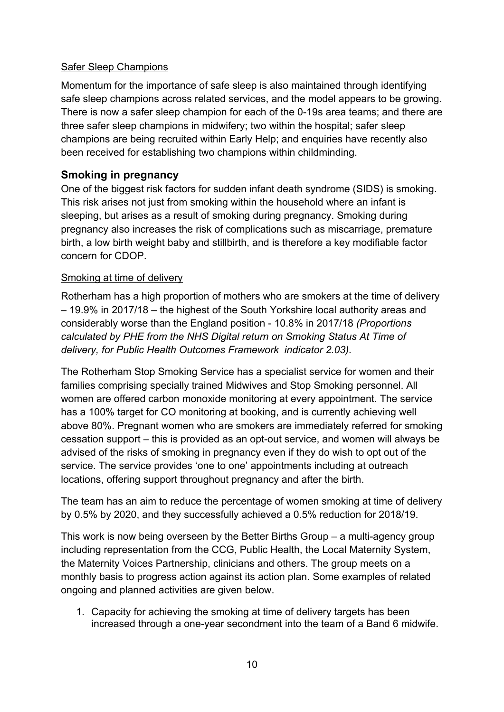## Safer Sleep Champions

Momentum for the importance of safe sleep is also maintained through identifying safe sleep champions across related services, and the model appears to be growing. There is now a safer sleep champion for each of the 0-19s area teams; and there are three safer sleep champions in midwifery; two within the hospital; safer sleep champions are being recruited within Early Help; and enquiries have recently also been received for establishing two champions within childminding.

## <span id="page-9-0"></span>**Smoking in pregnancy**

One of the biggest risk factors for sudden infant death syndrome (SIDS) is smoking. This risk arises not just from smoking within the household where an infant is sleeping, but arises as a result of smoking during pregnancy. Smoking during pregnancy also increases the risk of complications such as miscarriage, premature birth, a low birth weight baby and stillbirth, and is therefore a key modifiable factor concern for CDOP.

#### Smoking at time of delivery

Rotherham has a high proportion of mothers who are smokers at the time of delivery – 19.9% in 2017/18 – the highest of the South Yorkshire local authority areas and considerably worse than the England position - 10.8% in 2017/18 *(Proportions calculated by PHE from the NHS Digital return on Smoking Status At Time of delivery, for Public Health Outcomes Framework indicator 2.03).*

The Rotherham Stop Smoking Service has a specialist service for women and their families comprising specially trained Midwives and Stop Smoking personnel. All women are offered carbon monoxide monitoring at every appointment. The service has a 100% target for CO monitoring at booking, and is currently achieving well above 80%. Pregnant women who are smokers are immediately referred for smoking cessation support – this is provided as an opt-out service, and women will always be advised of the risks of smoking in pregnancy even if they do wish to opt out of the service. The service provides 'one to one' appointments including at outreach locations, offering support throughout pregnancy and after the birth.

The team has an aim to reduce the percentage of women smoking at time of delivery by 0.5% by 2020, and they successfully achieved a 0.5% reduction for 2018/19.

This work is now being overseen by the Better Births Group – a multi-agency group including representation from the CCG, Public Health, the Local Maternity System, the Maternity Voices Partnership, clinicians and others. The group meets on a monthly basis to progress action against its action plan. Some examples of related ongoing and planned activities are given below.

1. Capacity for achieving the smoking at time of delivery targets has been increased through a one-year secondment into the team of a Band 6 midwife.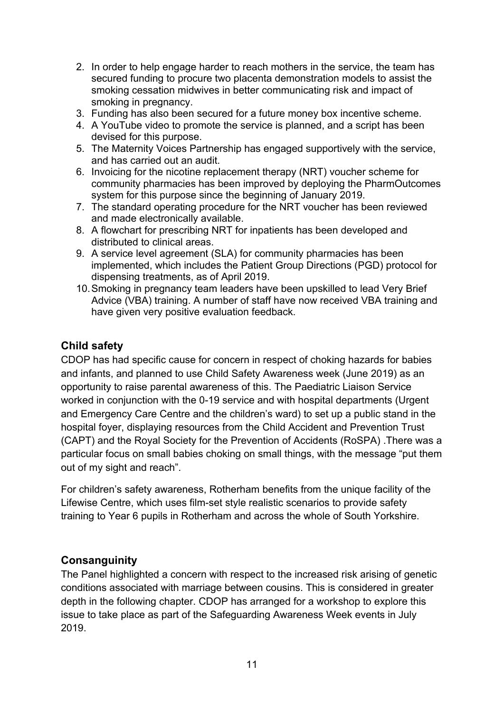- 2. In order to help engage harder to reach mothers in the service, the team has secured funding to procure two placenta demonstration models to assist the smoking cessation midwives in better communicating risk and impact of smoking in pregnancy.
- 3. Funding has also been secured for a future money box incentive scheme.
- 4. A YouTube video to promote the service is planned, and a script has been devised for this purpose.
- 5. The Maternity Voices Partnership has engaged supportively with the service, and has carried out an audit.
- 6. Invoicing for the nicotine replacement therapy (NRT) voucher scheme for community pharmacies has been improved by deploying the PharmOutcomes system for this purpose since the beginning of January 2019.
- 7. The standard operating procedure for the NRT voucher has been reviewed and made electronically available.
- 8. A flowchart for prescribing NRT for inpatients has been developed and distributed to clinical areas.
- 9. A service level agreement (SLA) for community pharmacies has been implemented, which includes the Patient Group Directions (PGD) protocol for dispensing treatments, as of April 2019.
- 10.Smoking in pregnancy team leaders have been upskilled to lead Very Brief Advice (VBA) training. A number of staff have now received VBA training and have given very positive evaluation feedback.

## <span id="page-10-0"></span>**Child safety**

CDOP has had specific cause for concern in respect of choking hazards for babies and infants, and planned to use Child Safety Awareness week (June 2019) as an opportunity to raise parental awareness of this. The Paediatric Liaison Service worked in conjunction with the 0-19 service and with hospital departments (Urgent and Emergency Care Centre and the children's ward) to set up a public stand in the hospital foyer, displaying resources from the Child Accident and Prevention Trust (CAPT) and the Royal Society for the Prevention of Accidents (RoSPA) .There was a particular focus on small babies choking on small things, with the message "put them out of my sight and reach".

For children's safety awareness, Rotherham benefits from the unique facility of the Lifewise Centre, which uses film-set style realistic scenarios to provide safety training to Year 6 pupils in Rotherham and across the whole of South Yorkshire.

## <span id="page-10-1"></span>**Consanguinity**

The Panel highlighted a concern with respect to the increased risk arising of genetic conditions associated with marriage between cousins. This is considered in greater depth in the following chapter. CDOP has arranged for a workshop to explore this issue to take place as part of the Safeguarding Awareness Week events in July 2019.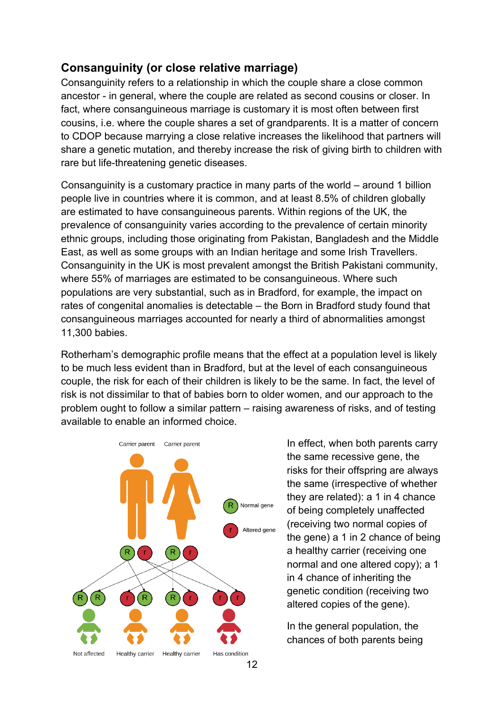# <span id="page-11-0"></span>**Consanguinity (or close relative marriage)**

Consanguinity refers to a relationship in which the couple share a close common ancestor - in general, where the couple are related as second cousins or closer. In fact, where consanguineous marriage is customary it is most often between first cousins, i.e. where the couple shares a set of grandparents. It is a matter of concern to CDOP because marrying a close relative increases the likelihood that partners will share a genetic mutation, and thereby increase the risk of giving birth to children with rare but life-threatening genetic diseases.

Consanguinity is a customary practice in many parts of the world – around 1 billion people live in countries where it is common, and at least 8.5% of children globally are estimated to have consanguineous parents. Within regions of the UK, the prevalence of consanguinity varies according to the prevalence of certain minority ethnic groups, including those originating from Pakistan, Bangladesh and the Middle East, as well as some groups with an Indian heritage and some Irish Travellers. Consanguinity in the UK is most prevalent amongst the British Pakistani community, where 55% of marriages are estimated to be consanguineous. Where such populations are very substantial, such as in Bradford, for example, the impact on rates of congenital anomalies is detectable – the Born in Bradford study found that consanguineous marriages accounted for nearly a third of abnormalities amongst 11,300 babies.

Rotherham's demographic profile means that the effect at a population level is likely to be much less evident than in Bradford, but at the level of each consanguineous couple, the risk for each of their children is likely to be the same. In fact, the level of risk is not dissimilar to that of babies born to older women, and our approach to the problem ought to follow a similar pattern – raising awareness of risks, and of testing available to enable an informed choice.



In effect, when both parents carry the same recessive gene, the risks for their offspring are always the same (irrespective of whether they are related): a 1 in 4 chance of being completely unaffected (receiving two normal copies of the gene) a 1 in 2 chance of being a healthy carrier (receiving one normal and one altered copy); a 1 in 4 chance of inheriting the genetic condition (receiving two altered copies of the gene).

In the general population, the chances of both parents being

12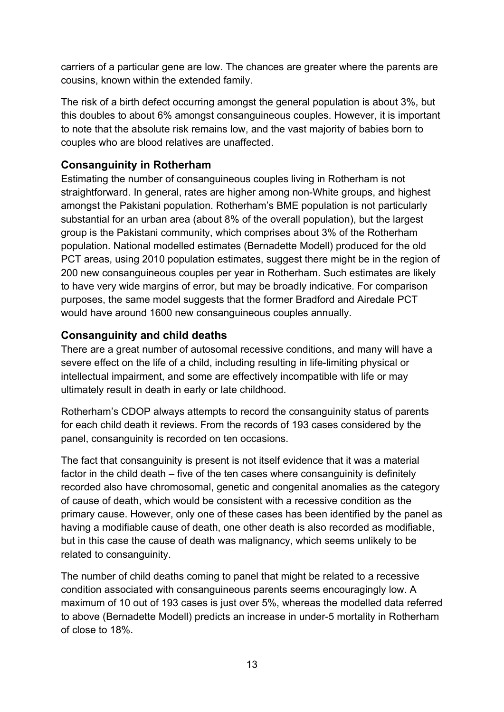carriers of a particular gene are low. The chances are greater where the parents are cousins, known within the extended family.

The risk of a birth defect occurring amongst the general population is about 3%, but this doubles to about 6% amongst consanguineous couples. However, it is important to note that the absolute risk remains low, and the vast majority of babies born to couples who are blood relatives are unaffected.

# <span id="page-12-0"></span>**Consanguinity in Rotherham**

Estimating the number of consanguineous couples living in Rotherham is not straightforward. In general, rates are higher among non-White groups, and highest amongst the Pakistani population. Rotherham's BME population is not particularly substantial for an urban area (about 8% of the overall population), but the largest group is the Pakistani community, which comprises about 3% of the Rotherham population. National modelled estimates (Bernadette Modell) produced for the old PCT areas, using 2010 population estimates, suggest there might be in the region of 200 new consanguineous couples per year in Rotherham. Such estimates are likely to have very wide margins of error, but may be broadly indicative. For comparison purposes, the same model suggests that the former Bradford and Airedale PCT would have around 1600 new consanguineous couples annually.

# <span id="page-12-1"></span>**Consanguinity and child deaths**

There are a great number of autosomal recessive conditions, and many will have a severe effect on the life of a child, including resulting in life-limiting physical or intellectual impairment, and some are effectively incompatible with life or may ultimately result in death in early or late childhood.

Rotherham's CDOP always attempts to record the consanguinity status of parents for each child death it reviews. From the records of 193 cases considered by the panel, consanguinity is recorded on ten occasions.

The fact that consanguinity is present is not itself evidence that it was a material factor in the child death – five of the ten cases where consanguinity is definitely recorded also have chromosomal, genetic and congenital anomalies as the category of cause of death, which would be consistent with a recessive condition as the primary cause. However, only one of these cases has been identified by the panel as having a modifiable cause of death, one other death is also recorded as modifiable, but in this case the cause of death was malignancy, which seems unlikely to be related to consanguinity.

The number of child deaths coming to panel that might be related to a recessive condition associated with consanguineous parents seems encouragingly low. A maximum of 10 out of 193 cases is just over 5%, whereas the modelled data referred to above (Bernadette Modell) predicts an increase in under-5 mortality in Rotherham of close to 18%.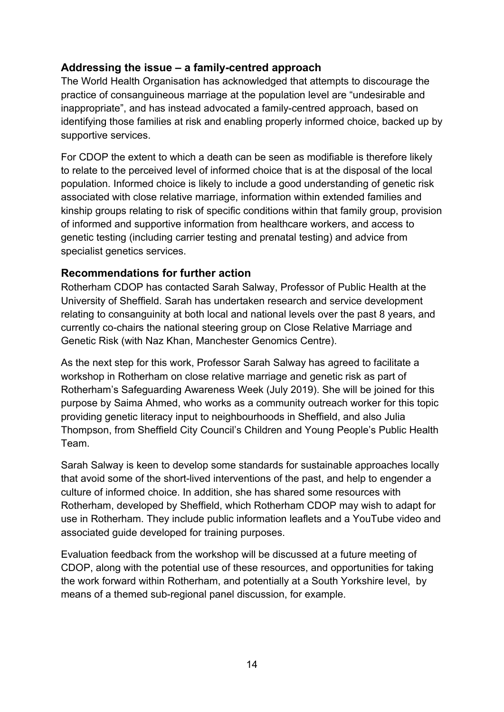# <span id="page-13-0"></span>**Addressing the issue – a family-centred approach**

The World Health Organisation has acknowledged that attempts to discourage the practice of consanguineous marriage at the population level are "undesirable and inappropriate", and has instead advocated a family-centred approach, based on identifying those families at risk and enabling properly informed choice, backed up by supportive services.

For CDOP the extent to which a death can be seen as modifiable is therefore likely to relate to the perceived level of informed choice that is at the disposal of the local population. Informed choice is likely to include a good understanding of genetic risk associated with close relative marriage, information within extended families and kinship groups relating to risk of specific conditions within that family group, provision of informed and supportive information from healthcare workers, and access to genetic testing (including carrier testing and prenatal testing) and advice from specialist genetics services.

## <span id="page-13-1"></span>**Recommendations for further action**

Rotherham CDOP has contacted Sarah Salway, Professor of Public Health at the University of Sheffield. Sarah has undertaken research and service development relating to consanguinity at both local and national levels over the past 8 years, and currently co-chairs the national steering group on Close Relative Marriage and Genetic Risk (with Naz Khan, Manchester Genomics Centre).

As the next step for this work, Professor Sarah Salway has agreed to facilitate a workshop in Rotherham on close relative marriage and genetic risk as part of Rotherham's Safeguarding Awareness Week (July 2019). She will be joined for this purpose by Saima Ahmed, who works as a community outreach worker for this topic providing genetic literacy input to neighbourhoods in Sheffield, and also Julia Thompson, from Sheffield City Council's Children and Young People's Public Health Team.

Sarah Salway is keen to develop some standards for sustainable approaches locally that avoid some of the short-lived interventions of the past, and help to engender a culture of informed choice. In addition, she has shared some resources with Rotherham, developed by Sheffield, which Rotherham CDOP may wish to adapt for use in Rotherham. They include public information leaflets and a YouTube video and associated guide developed for training purposes.

Evaluation feedback from the workshop will be discussed at a future meeting of CDOP, along with the potential use of these resources, and opportunities for taking the work forward within Rotherham, and potentially at a South Yorkshire level, by means of a themed sub-regional panel discussion, for example.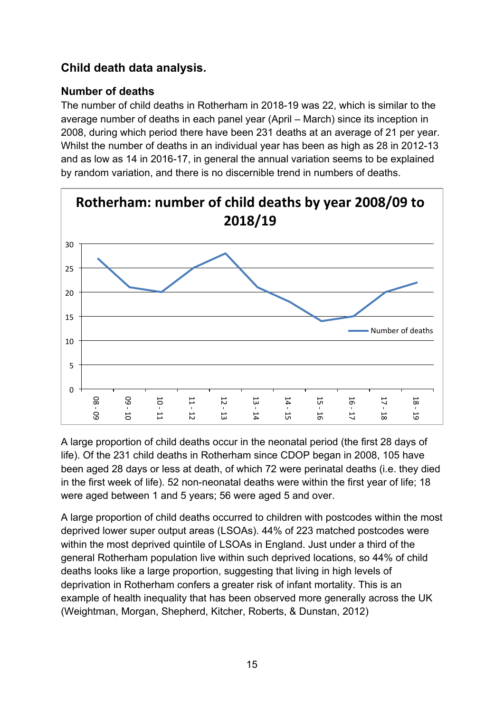# <span id="page-14-0"></span>**Child death data analysis.**

# <span id="page-14-1"></span>**Number of deaths**

The number of child deaths in Rotherham in 2018-19 was 22, which is similar to the average number of deaths in each panel year (April – March) since its inception in 2008, during which period there have been 231 deaths at an average of 21 per year. Whilst the number of deaths in an individual year has been as high as 28 in 2012-13 and as low as 14 in 2016-17, in general the annual variation seems to be explained by random variation, and there is no discernible trend in numbers of deaths.



A large proportion of child deaths occur in the neonatal period (the first 28 days of life). Of the 231 child deaths in Rotherham since CDOP began in 2008, 105 have been aged 28 days or less at death, of which 72 were perinatal deaths (i.e. they died in the first week of life). 52 non-neonatal deaths were within the first year of life; 18 were aged between 1 and 5 years; 56 were aged 5 and over.

A large proportion of child deaths occurred to children with postcodes within the most deprived lower super output areas (LSOAs). 44% of 223 matched postcodes were within the most deprived quintile of LSOAs in England. Just under a third of the general Rotherham population live within such deprived locations, so 44% of child deaths looks like a large proportion, suggesting that living in high levels of deprivation in Rotherham confers a greater risk of infant mortality. This is an example of health inequality that has been observed more generally across the UK (Weightman, Morgan, Shepherd, Kitcher, Roberts, & Dunstan, 2012)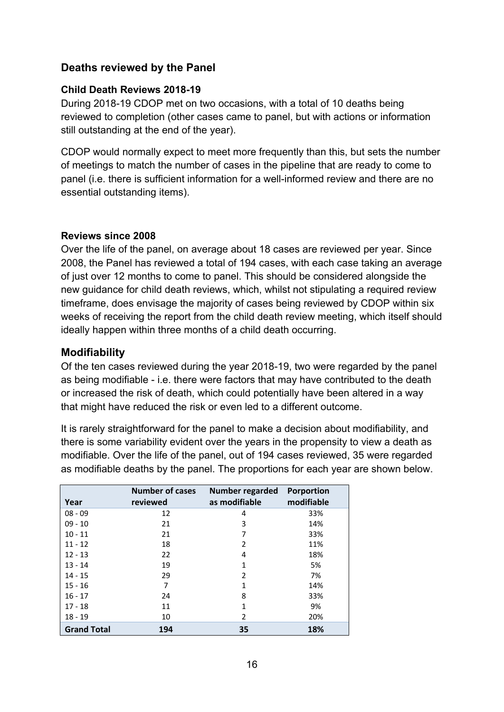## <span id="page-15-0"></span>**Deaths reviewed by the Panel**

#### **Child Death Reviews 2018-19**

During 2018-19 CDOP met on two occasions, with a total of 10 deaths being reviewed to completion (other cases came to panel, but with actions or information still outstanding at the end of the year).

CDOP would normally expect to meet more frequently than this, but sets the number of meetings to match the number of cases in the pipeline that are ready to come to panel (i.e. there is sufficient information for a well-informed review and there are no essential outstanding items).

#### **Reviews since 2008**

Over the life of the panel, on average about 18 cases are reviewed per year. Since 2008, the Panel has reviewed a total of 194 cases, with each case taking an average of just over 12 months to come to panel. This should be considered alongside the new guidance for child death reviews, which, whilst not stipulating a required review timeframe, does envisage the majority of cases being reviewed by CDOP within six weeks of receiving the report from the child death review meeting, which itself should ideally happen within three months of a child death occurring.

## <span id="page-15-1"></span>**Modifiability**

Of the ten cases reviewed during the year 2018-19, two were regarded by the panel as being modifiable - i.e. there were factors that may have contributed to the death or increased the risk of death, which could potentially have been altered in a way that might have reduced the risk or even led to a different outcome.

It is rarely straightforward for the panel to make a decision about modifiability, and there is some variability evident over the years in the propensity to view a death as modifiable. Over the life of the panel, out of 194 cases reviewed, 35 were regarded as modifiable deaths by the panel. The proportions for each year are shown below.

| Year               | <b>Number of cases</b><br>reviewed | Number regarded<br>as modifiable | <b>Porportion</b><br>modifiable |
|--------------------|------------------------------------|----------------------------------|---------------------------------|
| $08 - 09$          | 12                                 | 4                                | 33%                             |
| $09 - 10$          | 21                                 | 3                                | 14%                             |
| $10 - 11$          | 21                                 | 7                                | 33%                             |
| $11 - 12$          | 18                                 | 2                                | 11%                             |
| $12 - 13$          | 22                                 | 4                                | 18%                             |
| $13 - 14$          | 19                                 | $\mathbf{1}$                     | 5%                              |
| $14 - 15$          | 29                                 | $\overline{\phantom{a}}$         | 7%                              |
| $15 - 16$          | 7                                  | 1                                | 14%                             |
| $16 - 17$          | 24                                 | 8                                | 33%                             |
| $17 - 18$          | 11                                 | 1                                | 9%                              |
| $18 - 19$          | 10                                 | 2                                | 20%                             |
| <b>Grand Total</b> | 194                                | 35                               | 18%                             |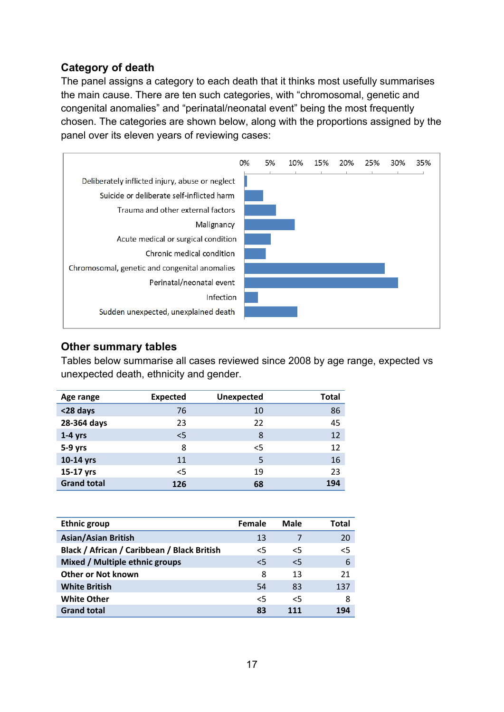# <span id="page-16-0"></span>**Category of death**

The panel assigns a category to each death that it thinks most usefully summarises the main cause. There are ten such categories, with "chromosomal, genetic and congenital anomalies" and "perinatal/neonatal event" being the most frequently chosen. The categories are shown below, along with the proportions assigned by the panel over its eleven years of reviewing cases:



#### <span id="page-16-1"></span>**Other summary tables**

Tables below summarise all cases reviewed since 2008 by age range, expected vs unexpected death, ethnicity and gender.

| Age range          | <b>Expected</b> | <b>Unexpected</b> | <b>Total</b> |
|--------------------|-----------------|-------------------|--------------|
| <28 days           | 76              | 10                | 86           |
| 28-364 days        | 23              | 22                | 45           |
| $1-4$ yrs          | 5               | 8                 | 12           |
| $5-9$ yrs          | 8               | $<$ 5             | 12           |
| 10-14 yrs          | 11              | 5                 | 16           |
| 15-17 yrs          | $<$ 5           | 19                | 23           |
| <b>Grand total</b> | 126             | 68                | 194          |

| <b>Ethnic group</b>                         | Female | Male   | Total |
|---------------------------------------------|--------|--------|-------|
| <b>Asian/Asian British</b>                  | 13     | 7      | 20    |
| Black / African / Caribbean / Black British | $<$ 5  | $\leq$ | 5     |
| Mixed / Multiple ethnic groups              | $\leq$ | $\leq$ | 6     |
| <b>Other or Not known</b>                   | 8      | 13     | 21    |
| <b>White British</b>                        | 54     | 83     | 137   |
| <b>White Other</b>                          | $\leq$ | $\leq$ | 8     |
| <b>Grand total</b>                          | 83     | 111    | 194   |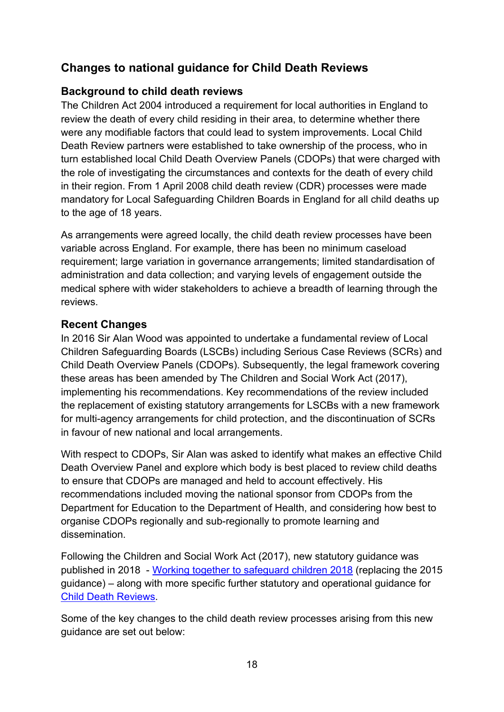# <span id="page-17-0"></span>**Changes to national guidance for Child Death Reviews**

# <span id="page-17-1"></span>**Background to child death reviews**

The Children Act 2004 introduced a requirement for local authorities in England to review the death of every child residing in their area, to determine whether there were any modifiable factors that could lead to system improvements. Local Child Death Review partners were established to take ownership of the process, who in turn established local Child Death Overview Panels (CDOPs) that were charged with the role of investigating the circumstances and contexts for the death of every child in their region. From 1 April 2008 child death review (CDR) processes were made mandatory for Local Safeguarding Children Boards in England for all child deaths up to the age of 18 years.

As arrangements were agreed locally, the child death review processes have been variable across England. For example, there has been no minimum caseload requirement; large variation in governance arrangements; limited standardisation of administration and data collection; and varying levels of engagement outside the medical sphere with wider stakeholders to achieve a breadth of learning through the reviews.

## <span id="page-17-2"></span>**Recent Changes**

In 2016 Sir Alan Wood was appointed to undertake a fundamental review of Local Children Safeguarding Boards (LSCBs) including Serious Case Reviews (SCRs) and Child Death Overview Panels (CDOPs). Subsequently, the legal framework covering these areas has been amended by The Children and Social Work Act (2017), implementing his recommendations. Key recommendations of the review included the replacement of existing statutory arrangements for LSCBs with a new framework for multi-agency arrangements for child protection, and the discontinuation of SCRs in favour of new national and local arrangements.

With respect to CDOPs, Sir Alan was asked to identify what makes an effective Child Death Overview Panel and explore which body is best placed to review child deaths to ensure that CDOPs are managed and held to account effectively. His recommendations included moving the national sponsor from CDOPs from the Department for Education to the Department of Health, and considering how best to organise CDOPs regionally and sub-regionally to promote learning and dissemination.

Following the Children and Social Work Act (2017), new statutory guidance was published in 2018 - Working together to [safeguard](https://www.gov.uk/government/publications/working-together-to-safeguard-children--2) children 2018 (replacing the 2015 guidance) – along with more specific further statutory and operational guidance for Child Death [Reviews](https://assets.publishing.service.gov.uk/government/uploads/system/uploads/attachment_data/file/777955/Child_death_review_statutory_and_operational_guidance_England.pdf).

Some of the key changes to the child death review processes arising from this new guidance are set out below: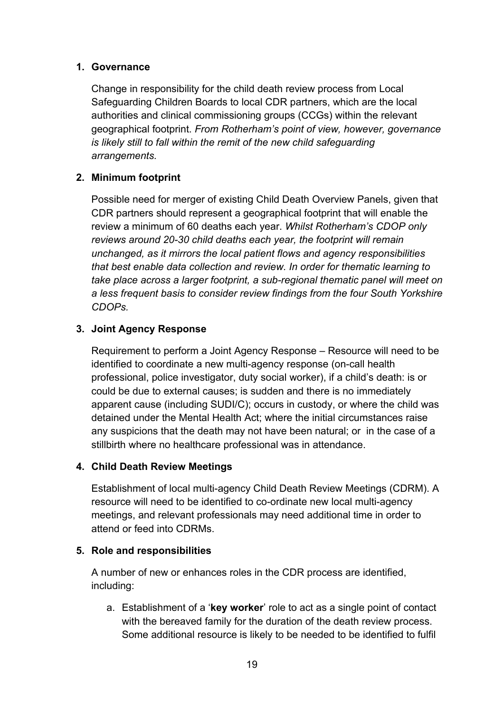#### **1. Governance**

Change in responsibility for the child death review process from Local Safeguarding Children Boards to local CDR partners, which are the local authorities and clinical commissioning groups (CCGs) within the relevant geographical footprint. *From Rotherham's point of view, however, governance is likely still to fall within the remit of the new child safeguarding arrangements.*

### **2. Minimum footprint**

Possible need for merger of existing Child Death Overview Panels, given that CDR partners should represent a geographical footprint that will enable the review a minimum of 60 deaths each year. *Whilst Rotherham's CDOP only reviews around 20-30 child deaths each year, the footprint will remain unchanged, as it mirrors the local patient flows and agency responsibilities that best enable data collection and review. In order for thematic learning to take place across a larger footprint, a sub-regional thematic panel will meet on a less frequent basis to consider review findings from the four South Yorkshire CDOPs.*

## **3. Joint Agency Response**

Requirement to perform a Joint Agency Response – Resource will need to be identified to coordinate a new multi-agency response (on-call health professional, police investigator, duty social worker), if a child's death: is or could be due to external causes; is sudden and there is no immediately apparent cause (including SUDI/C); occurs in custody, or where the child was detained under the Mental Health Act; where the initial circumstances raise any suspicions that the death may not have been natural; or in the case of a stillbirth where no healthcare professional was in attendance.

#### **4. Child Death Review Meetings**

Establishment of local multi-agency Child Death Review Meetings (CDRM). A resource will need to be identified to co-ordinate new local multi-agency meetings, and relevant professionals may need additional time in order to attend or feed into CDRMs.

#### **5. Role and responsibilities**

A number of new or enhances roles in the CDR process are identified, including:

a. Establishment of a '**key worker**' role to act as a single point of contact with the bereaved family for the duration of the death review process. Some additional resource is likely to be needed to be identified to fulfil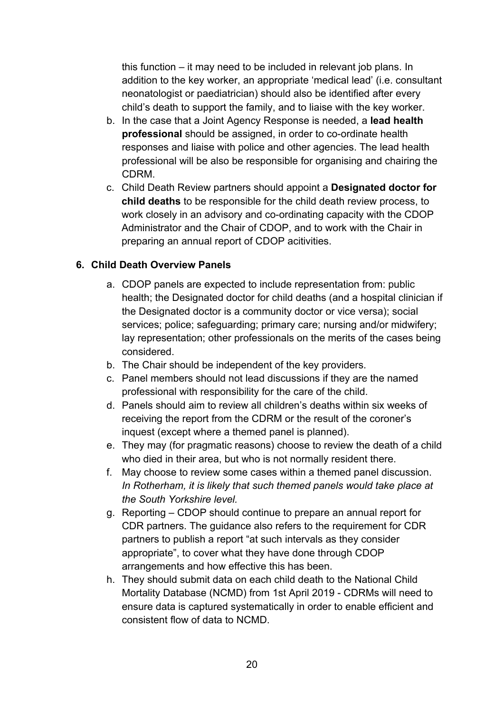this function – it may need to be included in relevant job plans. In addition to the key worker, an appropriate 'medical lead' (i.e. consultant neonatologist or paediatrician) should also be identified after every child's death to support the family, and to liaise with the key worker.

- b. In the case that a Joint Agency Response is needed, a **lead health professional** should be assigned, in order to co-ordinate health responses and liaise with police and other agencies. The lead health professional will be also be responsible for organising and chairing the CDRM.
- c. Child Death Review partners should appoint a **Designated doctor for child deaths** to be responsible for the child death review process, to work closely in an advisory and co-ordinating capacity with the CDOP Administrator and the Chair of CDOP, and to work with the Chair in preparing an annual report of CDOP acitivities.

## **6. Child Death Overview Panels**

- a. CDOP panels are expected to include representation from: public health; the Designated doctor for child deaths (and a hospital clinician if the Designated doctor is a community doctor or vice versa); social services; police; safeguarding; primary care; nursing and/or midwifery; lay representation; other professionals on the merits of the cases being considered.
- b. The Chair should be independent of the key providers.
- c. Panel members should not lead discussions if they are the named professional with responsibility for the care of the child.
- d. Panels should aim to review all children's deaths within six weeks of receiving the report from the CDRM or the result of the coroner's inquest (except where a themed panel is planned).
- e. They may (for pragmatic reasons) choose to review the death of a child who died in their area, but who is not normally resident there.
- f. May choose to review some cases within a themed panel discussion. *In Rotherham, it is likely that such themed panels would take place at the South Yorkshire level.*
- g. Reporting CDOP should continue to prepare an annual report for CDR partners. The guidance also refers to the requirement for CDR partners to publish a report "at such intervals as they consider appropriate", to cover what they have done through CDOP arrangements and how effective this has been.
- h. They should submit data on each child death to the National Child Mortality Database (NCMD) from 1st April 2019 - CDRMs will need to ensure data is captured systematically in order to enable efficient and consistent flow of data to NCMD.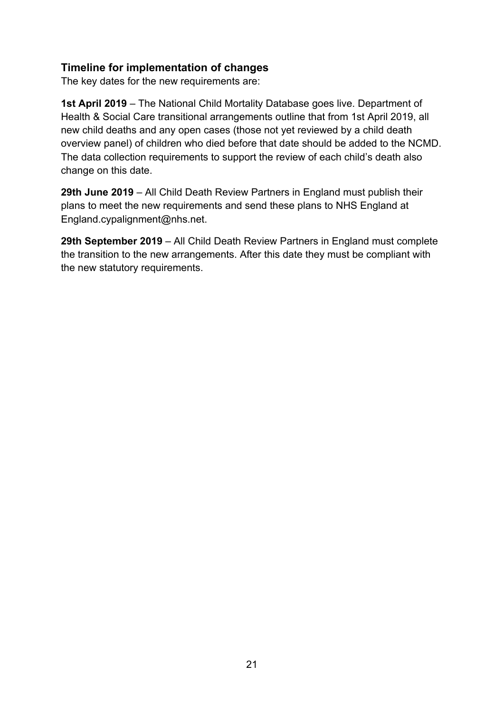## <span id="page-20-0"></span>**Timeline for implementation of changes**

The key dates for the new requirements are:

**1st April 2019** – The National Child Mortality Database goes live. Department of Health & Social Care transitional arrangements outline that from 1st April 2019, all new child deaths and any open cases (those not yet reviewed by a child death overview panel) of children who died before that date should be added to the NCMD. The data collection requirements to support the review of each child's death also change on this date.

**29th June 2019** – All Child Death Review Partners in England must publish their plans to meet the new requirements and send these plans to NHS England at England.cypalignment@nhs.net.

**29th September 2019** – All Child Death Review Partners in England must complete the transition to the new arrangements. After this date they must be compliant with the new statutory requirements.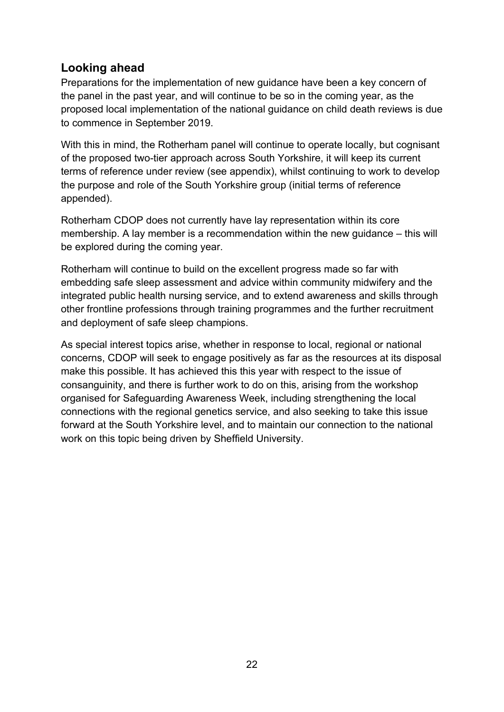# <span id="page-21-0"></span>**Looking ahead**

Preparations for the implementation of new guidance have been a key concern of the panel in the past year, and will continue to be so in the coming year, as the proposed local implementation of the national guidance on child death reviews is due to commence in September 2019.

With this in mind, the Rotherham panel will continue to operate locally, but cognisant of the proposed two-tier approach across South Yorkshire, it will keep its current terms of reference under review (see appendix), whilst continuing to work to develop the purpose and role of the South Yorkshire group (initial terms of reference appended).

Rotherham CDOP does not currently have lay representation within its core membership. A lay member is a recommendation within the new guidance – this will be explored during the coming year.

Rotherham will continue to build on the excellent progress made so far with embedding safe sleep assessment and advice within community midwifery and the integrated public health nursing service, and to extend awareness and skills through other frontline professions through training programmes and the further recruitment and deployment of safe sleep champions.

As special interest topics arise, whether in response to local, regional or national concerns, CDOP will seek to engage positively as far as the resources at its disposal make this possible. It has achieved this this year with respect to the issue of consanguinity, and there is further work to do on this, arising from the workshop organised for Safeguarding Awareness Week, including strengthening the local connections with the regional genetics service, and also seeking to take this issue forward at the South Yorkshire level, and to maintain our connection to the national work on this topic being driven by Sheffield University.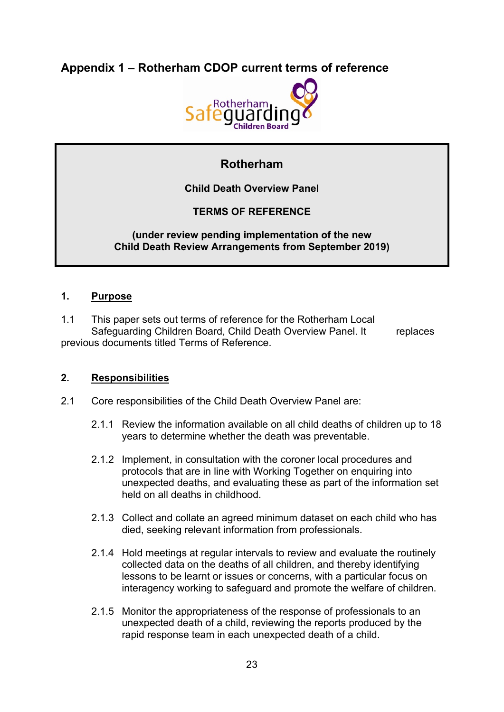<span id="page-22-0"></span>**Appendix 1 – Rotherham CDOP current terms of reference**



# **Rotherham**

**Child Death Overview Panel**

## **TERMS OF REFERENCE**

#### **(under review pending implementation of the new Child Death Review Arrangements from September 2019)**

#### **1. Purpose**

1.1 This paper sets out terms of reference for the Rotherham Local Safeguarding Children Board, Child Death Overview Panel. It replaces previous documents titled Terms of Reference.

#### **2. Responsibilities**

- 2.1 Core responsibilities of the Child Death Overview Panel are:
	- 2.1.1 Review the information available on all child deaths of children up to 18 years to determine whether the death was preventable.
	- 2.1.2 Implement, in consultation with the coroner local procedures and protocols that are in line with Working Together on enquiring into unexpected deaths, and evaluating these as part of the information set held on all deaths in childhood.
	- 2.1.3 Collect and collate an agreed minimum dataset on each child who has died, seeking relevant information from professionals.
	- 2.1.4 Hold meetings at regular intervals to review and evaluate the routinely collected data on the deaths of all children, and thereby identifying lessons to be learnt or issues or concerns, with a particular focus on interagency working to safeguard and promote the welfare of children.
	- 2.1.5 Monitor the appropriateness of the response of professionals to an unexpected death of a child, reviewing the reports produced by the rapid response team in each unexpected death of a child.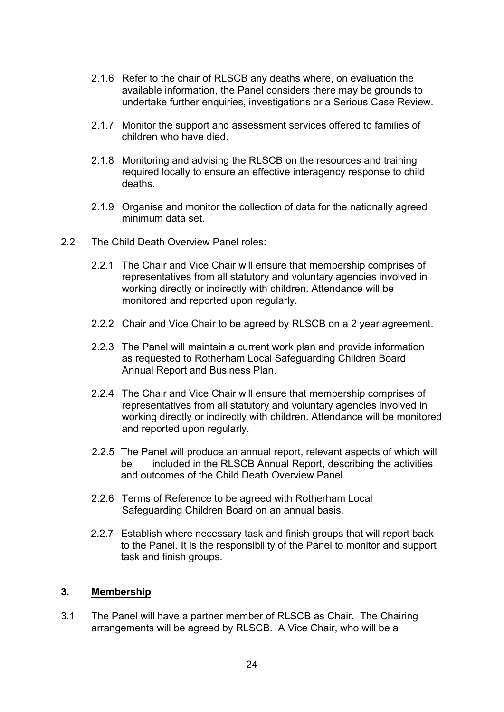- 2.1.6 Refer to the chair of RLSCB any deaths where, on evaluation the available information, the Panel considers there may be grounds to undertake further enquiries, investigations or a Serious Case Review.
- 2.1.7 Monitor the support and assessment services offered to families of children who have died.
- 2.1.8 Monitoring and advising the RLSCB on the resources and training required locally to ensure an effective interagency response to child deaths.
- 2.1.9 Organise and monitor the collection of data for the nationally agreed minimum data set.
- 2.2 The Child Death Overview Panel roles:
	- 2.2.1 The Chair and Vice Chair will ensure that membership comprises of representatives from all statutory and voluntary agencies involved in working directly or indirectly with children. Attendance will be monitored and reported upon regularly.
	- 2.2.2 Chair and Vice Chair to be agreed by RLSCB on a 2 year agreement.
	- 2.2.3 The Panel will maintain a current work plan and provide information as requested to Rotherham Local Safeguarding Children Board Annual Report and Business Plan.
	- 2.2.4 The Chair and Vice Chair will ensure that membership comprises of representatives from all statutory and voluntary agencies involved in working directly or indirectly with children. Attendance will be monitored and reported upon regularly.
	- 2.2.5 The Panel will produce an annual report, relevant aspects of which will be included in the RLSCB Annual Report, describing the activities and outcomes of the Child Death Overview Panel.
	- 2.2.6 Terms of Reference to be agreed with Rotherham Local Safeguarding Children Board on an annual basis.
	- 2.2.7 Establish where necessary task and finish groups that will report back to the Panel. It is the responsibility of the Panel to monitor and support task and finish groups.

#### **3. Membership**

3.1 The Panel will have a partner member of RLSCB as Chair. The Chairing arrangements will be agreed by RLSCB. A Vice Chair, who will be a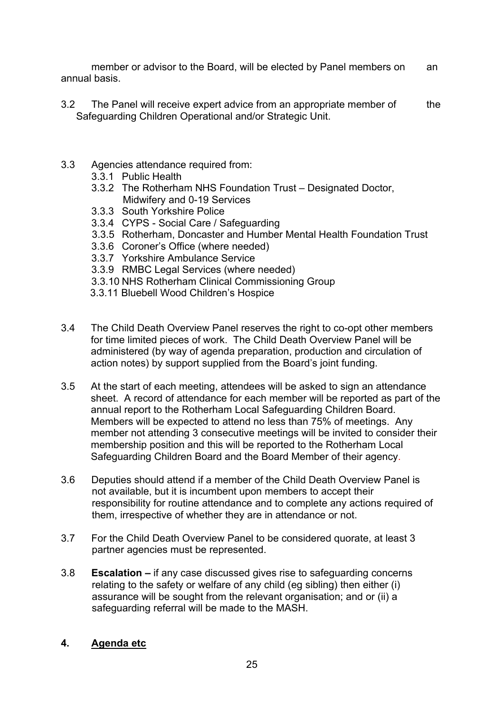member or advisor to the Board, will be elected by Panel members on an annual basis.

- 3.2 The Panel will receive expert advice from an appropriate member of the Safeguarding Children Operational and/or Strategic Unit.
- 3.3 Agencies attendance required from:
	- 3.3.1 Public Health
	- 3.3.2 The Rotherham NHS Foundation Trust Designated Doctor, Midwifery and 0-19 Services
	- 3.3.3 South Yorkshire Police
	- 3.3.4 CYPS Social Care / Safeguarding
	- 3.3.5 Rotherham, Doncaster and Humber Mental Health Foundation Trust
	- 3.3.6 Coroner's Office (where needed)
	- 3.3.7 Yorkshire Ambulance Service
	- 3.3.9 RMBC Legal Services (where needed)
	- 3.3.10 NHS Rotherham Clinical Commissioning Group
	- 3.3.11 Bluebell Wood Children's Hospice
- 3.4 The Child Death Overview Panel reserves the right to co-opt other members for time limited pieces of work. The Child Death Overview Panel will be administered (by way of agenda preparation, production and circulation of action notes) by support supplied from the Board's joint funding.
- 3.5 At the start of each meeting, attendees will be asked to sign an attendance sheet. A record of attendance for each member will be reported as part of the annual report to the Rotherham Local Safeguarding Children Board. Members will be expected to attend no less than 75% of meetings. Any member not attending 3 consecutive meetings will be invited to consider their membership position and this will be reported to the Rotherham Local Safeguarding Children Board and the Board Member of their agency.
- 3.6 Deputies should attend if a member of the Child Death Overview Panel is not available, but it is incumbent upon members to accept their responsibility for routine attendance and to complete any actions required of them, irrespective of whether they are in attendance or not.
- 3.7 For the Child Death Overview Panel to be considered quorate, at least 3 partner agencies must be represented.
- 3.8 **Escalation –** if any case discussed gives rise to safeguarding concerns relating to the safety or welfare of any child (eg sibling) then either (i) assurance will be sought from the relevant organisation; and or (ii) a safeguarding referral will be made to the MASH.

#### **4. Agenda etc**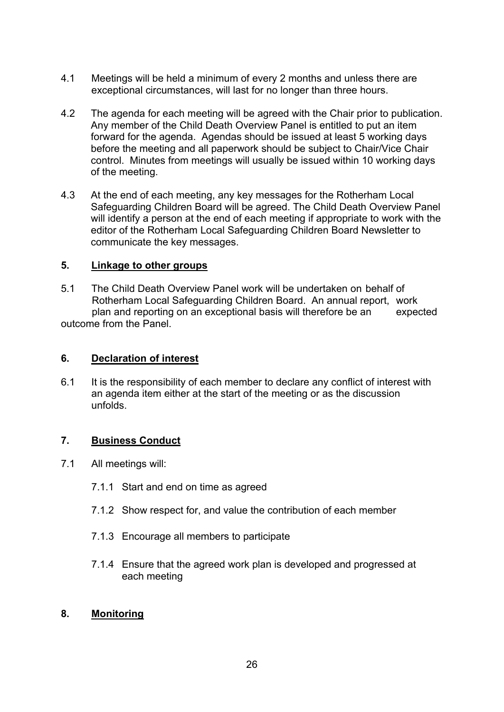- 4.1 Meetings will be held a minimum of every 2 months and unless there are exceptional circumstances, will last for no longer than three hours.
- 4.2 The agenda for each meeting will be agreed with the Chair prior to publication. Any member of the Child Death Overview Panel is entitled to put an item forward for the agenda. Agendas should be issued at least 5 working days before the meeting and all paperwork should be subject to Chair/Vice Chair control. Minutes from meetings will usually be issued within 10 working days of the meeting.
- 4.3 At the end of each meeting, any key messages for the Rotherham Local Safeguarding Children Board will be agreed. The Child Death Overview Panel will identify a person at the end of each meeting if appropriate to work with the editor of the Rotherham Local Safeguarding Children Board Newsletter to communicate the key messages.

#### **5. Linkage to other groups**

5.1 The Child Death Overview Panel work will be undertaken on behalf of Rotherham Local Safeguarding Children Board. An annual report, work plan and reporting on an exceptional basis will therefore be an expected outcome from the Panel.

#### **6. Declaration of interest**

6.1 It is the responsibility of each member to declare any conflict of interest with an agenda item either at the start of the meeting or as the discussion unfolds.

#### **7. Business Conduct**

- 7.1 All meetings will:
	- 7.1.1 Start and end on time as agreed
	- 7.1.2 Show respect for, and value the contribution of each member
	- 7.1.3 Encourage all members to participate
	- 7.1.4 Ensure that the agreed work plan is developed and progressed at each meeting

#### **8. Monitoring**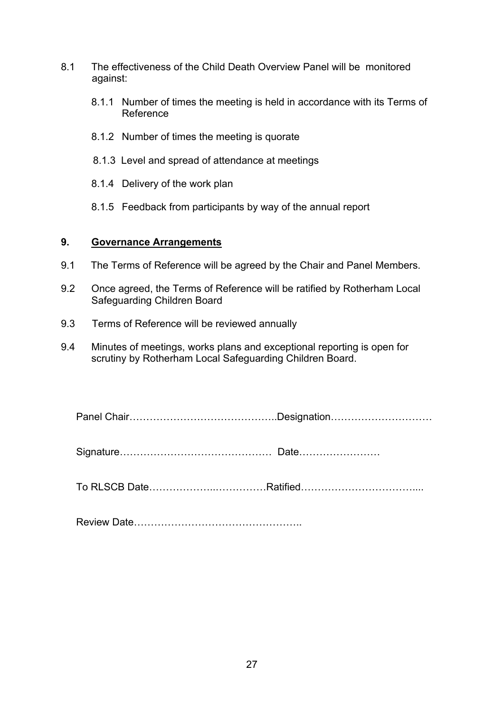- 8.1 The effectiveness of the Child Death Overview Panel will be monitored against:
	- 8.1.1 Number of times the meeting is held in accordance with its Terms of Reference
	- 8.1.2 Number of times the meeting is quorate
	- 8.1.3 Level and spread of attendance at meetings
	- 8.1.4 Delivery of the work plan
	- 8.1.5 Feedback from participants by way of the annual report

#### **9. Governance Arrangements**

- 9.1 The Terms of Reference will be agreed by the Chair and Panel Members.
- 9.2 Once agreed, the Terms of Reference will be ratified by Rotherham Local Safeguarding Children Board
- 9.3 Terms of Reference will be reviewed annually
- 9.4 Minutes of meetings, works plans and exceptional reporting is open for scrutiny by Rotherham Local Safeguarding Children Board.

Panel Chair……………………………………..Designation…………………………

Signature……………………………………… Date……………………

To RLSCB Date………………..……………Ratified……………………………....

Review Date…………………………………………..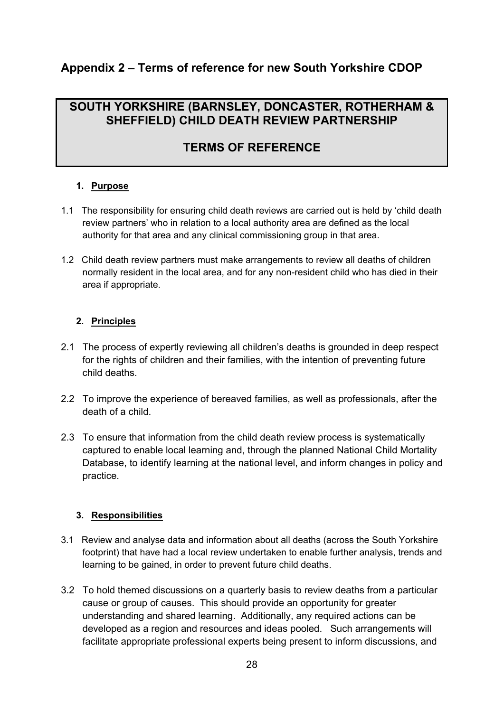# <span id="page-27-0"></span>**Appendix 2 – Terms of reference for new South Yorkshire CDOP**

# **SOUTH YORKSHIRE (BARNSLEY, DONCASTER, ROTHERHAM & SHEFFIELD) CHILD DEATH REVIEW PARTNERSHIP**

# **TERMS OF REFERENCE**

#### **1. Purpose**

- 1.1 The responsibility for ensuring child death reviews are carried out is held by 'child death review partners' who in relation to a local authority area are defined as the local authority for that area and any clinical commissioning group in that area.
- 1.2 Child death review partners must make arrangements to review all deaths of children normally resident in the local area, and for any non-resident child who has died in their area if appropriate.

#### **2. Principles**

- 2.1 The process of expertly reviewing all children's deaths is grounded in deep respect for the rights of children and their families, with the intention of preventing future child deaths.
- 2.2 To improve the experience of bereaved families, as well as professionals, after the death of a child.
- 2.3 To ensure that information from the child death review process is systematically captured to enable local learning and, through the planned National Child Mortality Database, to identify learning at the national level, and inform changes in policy and practice.

#### **3. Responsibilities**

- 3.1 Review and analyse data and information about all deaths (across the South Yorkshire footprint) that have had a local review undertaken to enable further analysis, trends and learning to be gained, in order to prevent future child deaths.
- 3.2 To hold themed discussions on a quarterly basis to review deaths from a particular cause or group of causes. This should provide an opportunity for greater understanding and shared learning. Additionally, any required actions can be developed as a region and resources and ideas pooled. Such arrangements will facilitate appropriate professional experts being present to inform discussions, and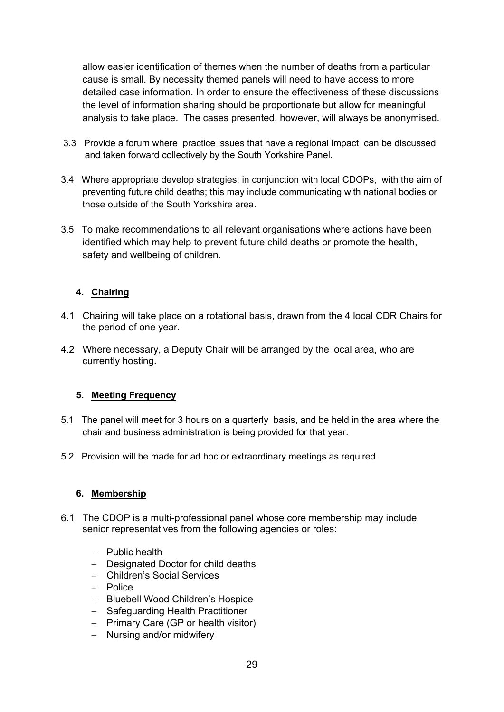allow easier identification of themes when the number of deaths from a particular cause is small. By necessity themed panels will need to have access to more detailed case information. In order to ensure the effectiveness of these discussions the level of information sharing should be proportionate but allow for meaningful analysis to take place. The cases presented, however, will always be anonymised.

- 3.3 Provide a forum where practice issues that have a regional impact can be discussed and taken forward collectively by the South Yorkshire Panel.
- 3.4 Where appropriate develop strategies, in conjunction with local CDOPs, with the aim of preventing future child deaths; this may include communicating with national bodies or those outside of the South Yorkshire area.
- 3.5 To make recommendations to all relevant organisations where actions have been identified which may help to prevent future child deaths or promote the health, safety and wellbeing of children.

#### **4. Chairing**

- 4.1 Chairing will take place on a rotational basis, drawn from the 4 local CDR Chairs for the period of one year.
- 4.2 Where necessary, a Deputy Chair will be arranged by the local area, who are currently hosting.

#### **5. Meeting Frequency**

- 5.1 The panel will meet for 3 hours on a quarterly basis, and be held in the area where the chair and business administration is being provided for that year.
- 5.2 Provision will be made for ad hoc or extraordinary meetings as required.

#### **6. Membership**

- 6.1 The CDOP is a multi-professional panel whose core membership may include senior representatives from the following agencies or roles:
	- $-$  Public health
	- Designated Doctor for child deaths
	- Children's Social Services
	- $-$  Police
	- Bluebell Wood Children's Hospice
	- Safeguarding Health Practitioner
	- $-$  Primary Care (GP or health visitor)
	- Nursing and/or midwifery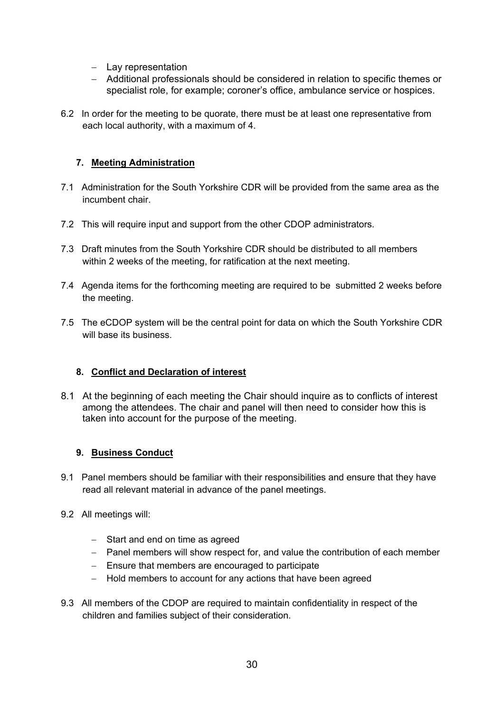- $-$  Lay representation
- Additional professionals should be considered in relation to specific themes or specialist role, for example; coroner's office, ambulance service or hospices.
- 6.2 In order for the meeting to be quorate, there must be at least one representative from each local authority, with a maximum of 4.

#### **7. Meeting Administration**

- 7.1 Administration for the South Yorkshire CDR will be provided from the same area as the incumbent chair.
- 7.2 This will require input and support from the other CDOP administrators.
- 7.3 Draft minutes from the South Yorkshire CDR should be distributed to all members within 2 weeks of the meeting, for ratification at the next meeting.
- 7.4 Agenda items for the forthcoming meeting are required to be submitted 2 weeks before the meeting.
- 7.5 The eCDOP system will be the central point for data on which the South Yorkshire CDR will base its business.

#### **8. Conflict and Declaration of interest**

8.1 At the beginning of each meeting the Chair should inquire as to conflicts of interest among the attendees. The chair and panel will then need to consider how this is taken into account for the purpose of the meeting.

#### **9. Business Conduct**

- 9.1 Panel members should be familiar with their responsibilities and ensure that they have read all relevant material in advance of the panel meetings.
- 9.2 All meetings will:
	- Start and end on time as agreed
	- Panel members will show respect for, and value the contribution of each member
	- Ensure that members are encouraged to participate
	- Hold members to account for any actions that have been agreed
- 9.3 All members of the CDOP are required to maintain confidentiality in respect of the children and families subject of their consideration.